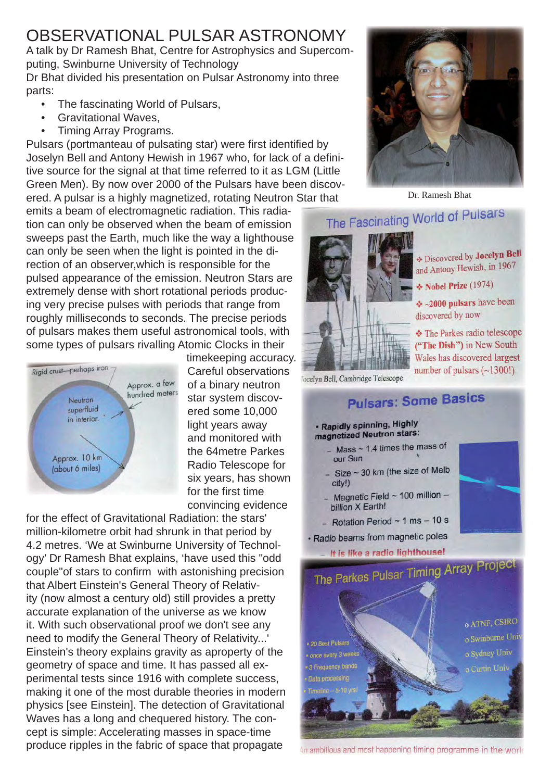## OBSERVATIONAL PULSAR ASTRONOMY

A talk by Dr Ramesh Bhat, Centre for Astrophysics and Supercomputing, Swinburne University of Technology Dr Bhat divided his presentation on Pulsar Astronomy into three

parts:

- The fascinating World of Pulsars,
- Gravitational Waves,
- Timing Array Programs.

Pulsars (portmanteau of pulsating star) were first identified by Joselyn Bell and Antony Hewish in 1967 who, for lack of a definitive source for the signal at that time referred to it as LGM (Little Green Men). By now over 2000 of the Pulsars have been discovered. A pulsar is a highly magnetized, rotating Neutron Star that

emits a beam of electromagnetic radiation. This radiation can only be observed when the beam of emission sweeps past the Earth, much like the way a lighthouse can only be seen when the light is pointed in the direction of an observer,which is responsible for the pulsed appearance of the emission. Neutron Stars are extremely dense with short rotational periods producing very precise pulses with periods that range from roughly milliseconds to seconds. The precise periods of pulsars makes them useful astronomical tools, with some types of pulsars rivalling Atomic Clocks in their



timekeeping accuracy. Careful observations of a binary neutron star system discovered some 10,000 light years away and monitored with the 64metre Parkes Radio Telescope for six years, has shown for the first time convincing evidence

for the effect of Gravitational Radiation: the stars' million-kilometre orbit had shrunk in that period by 4.2 metres. 'We at Swinburne University of Technology' Dr Ramesh Bhat explains, 'have used this "odd couple" of stars to confirm with astonishing precision that Albert Einstein's General Theory of Relativity (now almost a century old) still provides a pretty accurate explanation of the universe as we know it. With such observational proof we don't see any need to modify the General Theory of Relativity...' Einstein's theory explains gravity as aproperty of the geometry of space and time. It has passed all experimental tests since 1916 with complete success, making it one of the most durable theories in modern physics [see Einstein]. The detection of Gravitational Waves has a long and chequered history. The concept is simple: Accelerating masses in space-time produce ripples in the fabric of space that propagate



Dr. Ramesh Bhat

## The Fascinating World of Pulsars



**EDiscovered by Jocelyn Bell** and Antony Hewish, in 1967

\* Nobel Prize (1974)

 $\div$  ~2000 pulsars have been discovered by now

The Parkes radio telescope ("The Dish") in New South Wales has discovered largest number of pulsars  $(-1300!)$ 

locelyn Bell, Cambridge Telescope

## **Pulsars: Some Basics**

## · Rapidly spinning, Highly magnetized Neutron stars:

- $-$  Mass  $\sim$  1.4 times the mass of our Sun
- Size  $\sim$  30 km (the size of Melb city!)
- Magnetic Field  $\sim$  100 million billion X Earth!
- Rotation Period  $\sim$  1 ms  $-$  10 s
- · Radio beams from magnetic poles





In ambitious and most happening timing programme in the work